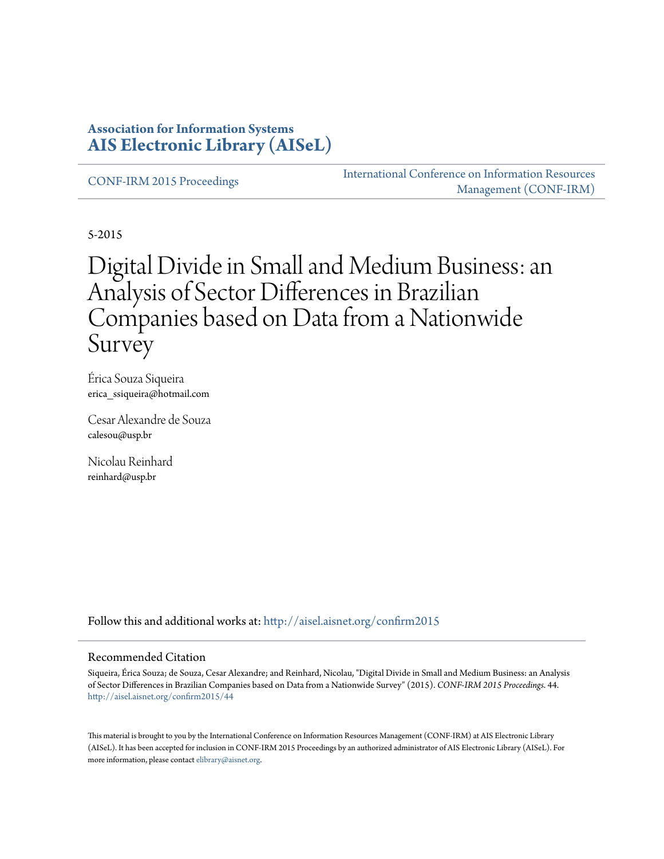#### **Association for Information Systems [AIS Electronic Library \(AISeL\)](http://aisel.aisnet.org?utm_source=aisel.aisnet.org%2Fconfirm2015%2F44&utm_medium=PDF&utm_campaign=PDFCoverPages)**

[CONF-IRM 2015 Proceedings](http://aisel.aisnet.org/confirm2015?utm_source=aisel.aisnet.org%2Fconfirm2015%2F44&utm_medium=PDF&utm_campaign=PDFCoverPages)

[International Conference on Information Resources](http://aisel.aisnet.org/conf-irm?utm_source=aisel.aisnet.org%2Fconfirm2015%2F44&utm_medium=PDF&utm_campaign=PDFCoverPages) [Management \(CONF-IRM\)](http://aisel.aisnet.org/conf-irm?utm_source=aisel.aisnet.org%2Fconfirm2015%2F44&utm_medium=PDF&utm_campaign=PDFCoverPages)

5-2015

# Digital Divide in Small and Medium Business: an Analysis of Sector Differences in Brazilian Companies based on Data from a Nationwide Survey

Érica Souza Siqueira erica\_ssiqueira@hotmail.com

Cesar Alexandre de Souza calesou@usp.br

Nicolau Reinhard reinhard@usp.br

Follow this and additional works at: [http://aisel.aisnet.org/confirm2015](http://aisel.aisnet.org/confirm2015?utm_source=aisel.aisnet.org%2Fconfirm2015%2F44&utm_medium=PDF&utm_campaign=PDFCoverPages)

#### Recommended Citation

Siqueira, Érica Souza; de Souza, Cesar Alexandre; and Reinhard, Nicolau, "Digital Divide in Small and Medium Business: an Analysis of Sector Differences in Brazilian Companies based on Data from a Nationwide Survey" (2015). *CONF-IRM 2015 Proceedings*. 44. [http://aisel.aisnet.org/confirm2015/44](http://aisel.aisnet.org/confirm2015/44?utm_source=aisel.aisnet.org%2Fconfirm2015%2F44&utm_medium=PDF&utm_campaign=PDFCoverPages)

This material is brought to you by the International Conference on Information Resources Management (CONF-IRM) at AIS Electronic Library (AISeL). It has been accepted for inclusion in CONF-IRM 2015 Proceedings by an authorized administrator of AIS Electronic Library (AISeL). For more information, please contact [elibrary@aisnet.org.](mailto:elibrary@aisnet.org%3E)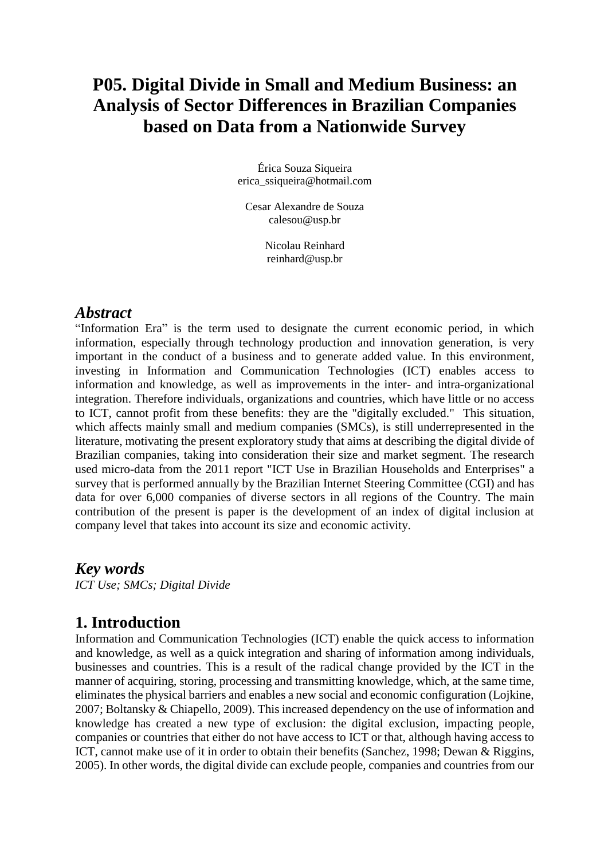## **P05. Digital Divide in Small and Medium Business: an Analysis of Sector Differences in Brazilian Companies based on Data from a Nationwide Survey**

Érica Souza Siqueira erica\_ssiqueira@hotmail.com

Cesar Alexandre de Souza calesou@usp.br

> Nicolau Reinhard reinhard@usp.br

#### *Abstract*

"Information Era" is the term used to designate the current economic period, in which information, especially through technology production and innovation generation, is very important in the conduct of a business and to generate added value. In this environment, investing in Information and Communication Technologies (ICT) enables access to information and knowledge, as well as improvements in the inter- and intra-organizational integration. Therefore individuals, organizations and countries, which have little or no access to ICT, cannot profit from these benefits: they are the "digitally excluded." This situation, which affects mainly small and medium companies (SMCs), is still underrepresented in the literature, motivating the present exploratory study that aims at describing the digital divide of Brazilian companies, taking into consideration their size and market segment. The research used micro-data from the 2011 report "ICT Use in Brazilian Households and Enterprises" a survey that is performed annually by the Brazilian Internet Steering Committee (CGI) and has data for over 6,000 companies of diverse sectors in all regions of the Country. The main contribution of the present is paper is the development of an index of digital inclusion at company level that takes into account its size and economic activity.

*Key words ICT Use; SMCs; Digital Divide*

### **1. Introduction**

Information and Communication Technologies (ICT) enable the quick access to information and knowledge, as well as a quick integration and sharing of information among individuals, businesses and countries. This is a result of the radical change provided by the ICT in the manner of acquiring, storing, processing and transmitting knowledge, which, at the same time, eliminates the physical barriers and enables a new social and economic configuration (Lojkine, 2007; Boltansky & Chiapello, 2009). This increased dependency on the use of information and knowledge has created a new type of exclusion: the digital exclusion, impacting people, companies or countries that either do not have access to ICT or that, although having access to ICT, cannot make use of it in order to obtain their benefits (Sanchez, 1998; Dewan & Riggins, 2005). In other words, the digital divide can exclude people, companies and countries from our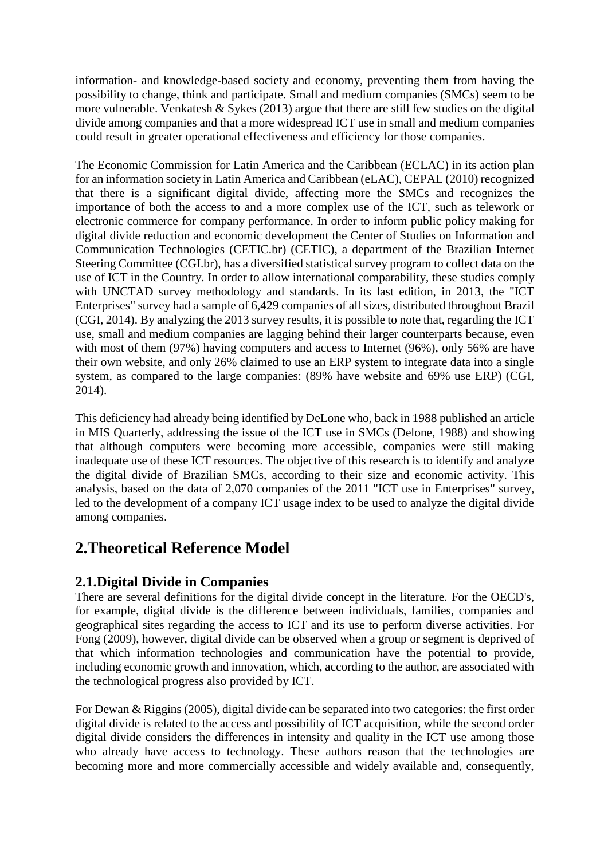information- and knowledge-based society and economy, preventing them from having the possibility to change, think and participate. Small and medium companies (SMCs) seem to be more vulnerable. Venkatesh  $&$  Sykes (2013) argue that there are still few studies on the digital divide among companies and that a more widespread ICT use in small and medium companies could result in greater operational effectiveness and efficiency for those companies.

The Economic Commission for Latin America and the Caribbean (ECLAC) in its action plan for an information society in Latin America and Caribbean (eLAC), CEPAL (2010) recognized that there is a significant digital divide, affecting more the SMCs and recognizes the importance of both the access to and a more complex use of the ICT, such as telework or electronic commerce for company performance. In order to inform public policy making for digital divide reduction and economic development the Center of Studies on Information and Communication Technologies (CETIC.br) (CETIC), a department of the Brazilian Internet Steering Committee (CGI.br), has a diversified statistical survey program to collect data on the use of ICT in the Country. In order to allow international comparability, these studies comply with UNCTAD survey methodology and standards. In its last edition, in 2013, the "ICT Enterprises" survey had a sample of 6,429 companies of all sizes, distributed throughout Brazil (CGI, 2014). By analyzing the 2013 survey results, it is possible to note that, regarding the ICT use, small and medium companies are lagging behind their larger counterparts because, even with most of them (97%) having computers and access to Internet (96%), only 56% are have their own website, and only 26% claimed to use an ERP system to integrate data into a single system, as compared to the large companies: (89% have website and 69% use ERP) (CGI, 2014).

This deficiency had already being identified by DeLone who, back in 1988 published an article in MIS Quarterly, addressing the issue of the ICT use in SMCs (Delone, 1988) and showing that although computers were becoming more accessible, companies were still making inadequate use of these ICT resources. The objective of this research is to identify and analyze the digital divide of Brazilian SMCs, according to their size and economic activity. This analysis, based on the data of 2,070 companies of the 2011 "ICT use in Enterprises" survey, led to the development of a company ICT usage index to be used to analyze the digital divide among companies.

## **2.Theoretical Reference Model**

#### **2.1.Digital Divide in Companies**

There are several definitions for the digital divide concept in the literature. For the OECD's, for example, digital divide is the difference between individuals, families, companies and geographical sites regarding the access to ICT and its use to perform diverse activities. For Fong (2009), however, digital divide can be observed when a group or segment is deprived of that which information technologies and communication have the potential to provide, including economic growth and innovation, which, according to the author, are associated with the technological progress also provided by ICT.

For Dewan & Riggins (2005), digital divide can be separated into two categories: the first order digital divide is related to the access and possibility of ICT acquisition, while the second order digital divide considers the differences in intensity and quality in the ICT use among those who already have access to technology. These authors reason that the technologies are becoming more and more commercially accessible and widely available and, consequently,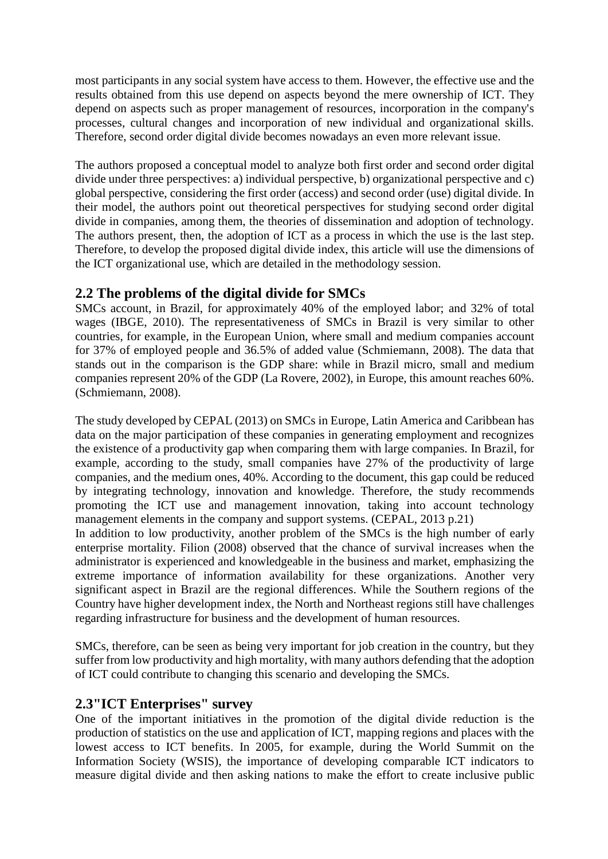most participants in any social system have access to them. However, the effective use and the results obtained from this use depend on aspects beyond the mere ownership of ICT. They depend on aspects such as proper management of resources, incorporation in the company's processes, cultural changes and incorporation of new individual and organizational skills. Therefore, second order digital divide becomes nowadays an even more relevant issue.

The authors proposed a conceptual model to analyze both first order and second order digital divide under three perspectives: a) individual perspective, b) organizational perspective and c) global perspective, considering the first order (access) and second order (use) digital divide. In their model, the authors point out theoretical perspectives for studying second order digital divide in companies, among them, the theories of dissemination and adoption of technology. The authors present, then, the adoption of ICT as a process in which the use is the last step. Therefore, to develop the proposed digital divide index, this article will use the dimensions of the ICT organizational use, which are detailed in the methodology session.

#### **2.2 The problems of the digital divide for SMCs**

SMCs account, in Brazil, for approximately 40% of the employed labor; and 32% of total wages (IBGE, 2010). The representativeness of SMCs in Brazil is very similar to other countries, for example, in the European Union, where small and medium companies account for 37% of employed people and 36.5% of added value (Schmiemann, 2008). The data that stands out in the comparison is the GDP share: while in Brazil micro, small and medium companies represent 20% of the GDP (La Rovere, 2002), in Europe, this amount reaches 60%. (Schmiemann, 2008).

The study developed by CEPAL (2013) on SMCs in Europe, Latin America and Caribbean has data on the major participation of these companies in generating employment and recognizes the existence of a productivity gap when comparing them with large companies. In Brazil, for example, according to the study, small companies have 27% of the productivity of large companies, and the medium ones, 40%. According to the document, this gap could be reduced by integrating technology, innovation and knowledge. Therefore, the study recommends promoting the ICT use and management innovation, taking into account technology management elements in the company and support systems. (CEPAL, 2013 p.21)

In addition to low productivity, another problem of the SMCs is the high number of early enterprise mortality. Filion (2008) observed that the chance of survival increases when the administrator is experienced and knowledgeable in the business and market, emphasizing the extreme importance of information availability for these organizations. Another very significant aspect in Brazil are the regional differences. While the Southern regions of the Country have higher development index, the North and Northeast regions still have challenges regarding infrastructure for business and the development of human resources.

SMCs, therefore, can be seen as being very important for job creation in the country, but they suffer from low productivity and high mortality, with many authors defending that the adoption of ICT could contribute to changing this scenario and developing the SMCs.

#### **2.3"ICT Enterprises" survey**

One of the important initiatives in the promotion of the digital divide reduction is the production of statistics on the use and application of ICT, mapping regions and places with the lowest access to ICT benefits. In 2005, for example, during the World Summit on the Information Society (WSIS), the importance of developing comparable ICT indicators to measure digital divide and then asking nations to make the effort to create inclusive public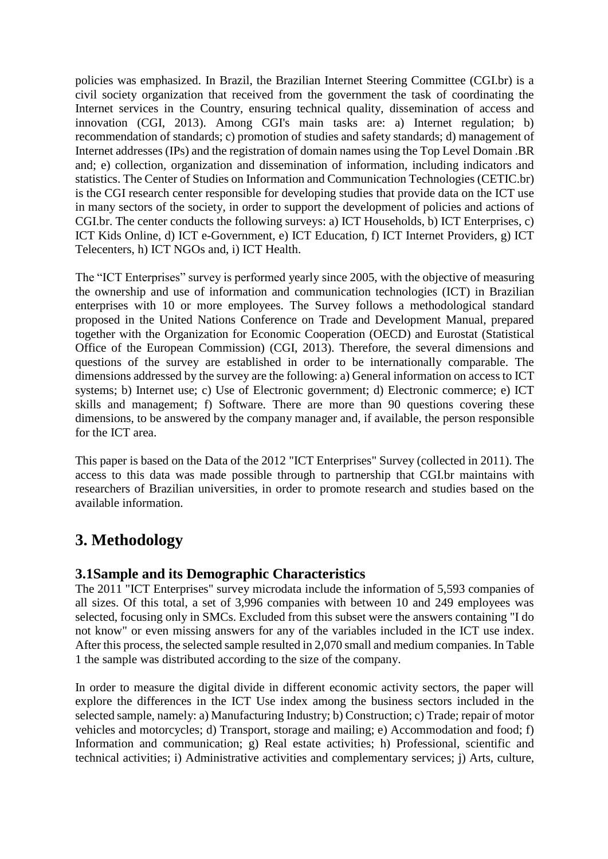policies was emphasized. In Brazil, the Brazilian Internet Steering Committee (CGI.br) is a civil society organization that received from the government the task of coordinating the Internet services in the Country, ensuring technical quality, dissemination of access and innovation (CGI, 2013). Among CGI's main tasks are: a) Internet regulation; b) recommendation of standards; c) promotion of studies and safety standards; d) management of Internet addresses (IPs) and the registration of domain names using the Top Level Domain .BR and; e) collection, organization and dissemination of information, including indicators and statistics. The Center of Studies on Information and Communication Technologies (CETIC.br) is the CGI research center responsible for developing studies that provide data on the ICT use in many sectors of the society, in order to support the development of policies and actions of CGI.br. The center conducts the following surveys: a) ICT Households, b) ICT Enterprises, c) ICT Kids Online, d) ICT e-Government, e) ICT Education, f) ICT Internet Providers, g) ICT Telecenters, h) ICT NGOs and, i) ICT Health.

The "ICT Enterprises" survey is performed yearly since 2005, with the objective of measuring the ownership and use of information and communication technologies (ICT) in Brazilian enterprises with 10 or more employees. The Survey follows a methodological standard proposed in the United Nations Conference on Trade and Development Manual, prepared together with the Organization for Economic Cooperation (OECD) and Eurostat (Statistical Office of the European Commission) (CGI, 2013). Therefore, the several dimensions and questions of the survey are established in order to be internationally comparable. The dimensions addressed by the survey are the following: a) General information on access to ICT systems; b) Internet use; c) Use of Electronic government; d) Electronic commerce; e) ICT skills and management; f) Software. There are more than 90 questions covering these dimensions, to be answered by the company manager and, if available, the person responsible for the ICT area.

This paper is based on the Data of the 2012 "ICT Enterprises" Survey (collected in 2011). The access to this data was made possible through to partnership that CGI.br maintains with researchers of Brazilian universities, in order to promote research and studies based on the available information.

## **3. Methodology**

#### **3.1Sample and its Demographic Characteristics**

The 2011 "ICT Enterprises" survey microdata include the information of 5,593 companies of all sizes. Of this total, a set of 3,996 companies with between 10 and 249 employees was selected, focusing only in SMCs. Excluded from this subset were the answers containing "I do not know" or even missing answers for any of the variables included in the ICT use index. After this process, the selected sample resulted in 2,070 small and medium companies. In Table 1 the sample was distributed according to the size of the company.

In order to measure the digital divide in different economic activity sectors, the paper will explore the differences in the ICT Use index among the business sectors included in the selected sample, namely: a) Manufacturing Industry; b) Construction; c) Trade; repair of motor vehicles and motorcycles; d) Transport, storage and mailing; e) Accommodation and food; f) Information and communication; g) Real estate activities; h) Professional, scientific and technical activities; i) Administrative activities and complementary services; j) Arts, culture,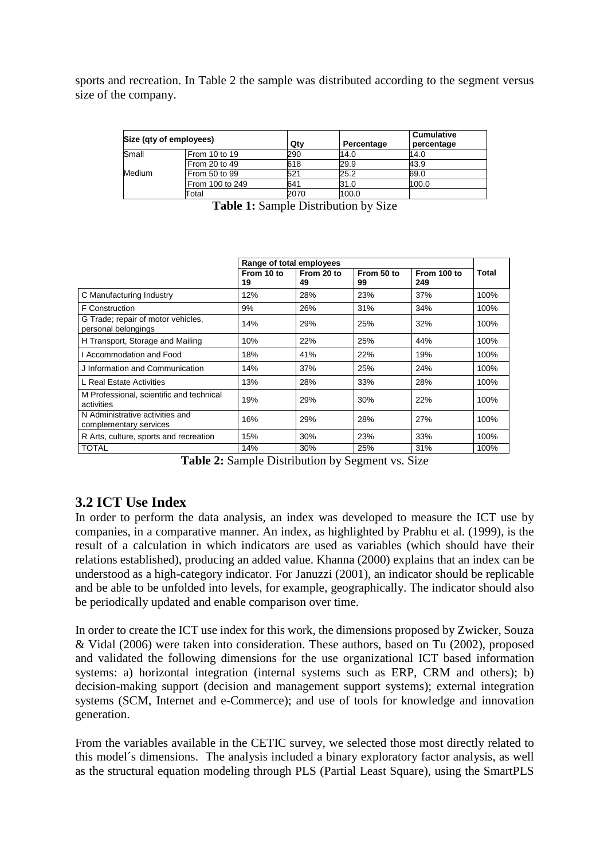sports and recreation. In Table 2 the sample was distributed according to the segment versus size of the company.

| Size (qty of employees) |                 | Qtv  | Percentage | <b>Cumulative</b><br>percentage |
|-------------------------|-----------------|------|------------|---------------------------------|
| Small                   | From 10 to 19   | 290  | 14.0       | 14.0                            |
|                         | From 20 to 49   | 618  | 29.9       | 43.9                            |
| Medium                  | From 50 to 99   | 521  | 25.2       | 69.0                            |
|                         | From 100 to 249 | 641  | 31.0       | 100.0                           |
|                         | Total           | 2070 | 100.0      |                                 |

|  |  | Table 1: Sample Distribution by Size |  |  |
|--|--|--------------------------------------|--|--|
|--|--|--------------------------------------|--|--|

|                                                           |                  | Range of total employees |                  |                    |       |
|-----------------------------------------------------------|------------------|--------------------------|------------------|--------------------|-------|
|                                                           | From 10 to<br>19 | From 20 to<br>49         | From 50 to<br>99 | From 100 to<br>249 | Total |
| C Manufacturing Industry                                  | 12%              | 28%                      | 23%              | 37%                | 100%  |
| <b>F</b> Construction                                     | 9%               | 26%                      | 31%              | 34%                | 100%  |
| G Trade; repair of motor vehicles,<br>personal belongings | 14%              | 29%                      | 25%              | 32%                | 100%  |
| H Transport, Storage and Mailing                          | 10%              | 22%                      | 25%              | 44%                | 100%  |
| l Accommodation and Food                                  | 18%              | 41%                      | 22%              | 19%                | 100%  |
| J Information and Communication                           | 14%              | 37%                      | 25%              | 24%                | 100%  |
| L Real Estate Activities                                  | 13%              | 28%                      | 33%              | 28%                | 100%  |
| M Professional, scientific and technical<br>activities    | 19%              | 29%                      | 30%              | 22%                | 100%  |
| N Administrative activities and<br>complementary services | 16%              | 29%                      | 28%              | 27%                | 100%  |
| R Arts, culture, sports and recreation                    | 15%              | 30%                      | 23%              | 33%                | 100%  |
| <b>TOTAL</b>                                              | 14%              | 30%                      | 25%              | 31%                | 100%  |

**Table 2:** Sample Distribution by Segment vs. Size

#### **3.2 ICT Use Index**

In order to perform the data analysis, an index was developed to measure the ICT use by companies, in a comparative manner. An index, as highlighted by Prabhu et al. (1999), is the result of a calculation in which indicators are used as variables (which should have their relations established), producing an added value. Khanna (2000) explains that an index can be understood as a high-category indicator. For Januzzi (2001), an indicator should be replicable and be able to be unfolded into levels, for example, geographically. The indicator should also be periodically updated and enable comparison over time.

In order to create the ICT use index for this work, the dimensions proposed by Zwicker, Souza & Vidal (2006) were taken into consideration. These authors, based on Tu (2002), proposed and validated the following dimensions for the use organizational ICT based information systems: a) horizontal integration (internal systems such as ERP, CRM and others); b) decision-making support (decision and management support systems); external integration systems (SCM, Internet and e-Commerce); and use of tools for knowledge and innovation generation.

From the variables available in the CETIC survey, we selected those most directly related to this model´s dimensions. The analysis included a binary exploratory factor analysis, as well as the structural equation modeling through PLS (Partial Least Square), using the SmartPLS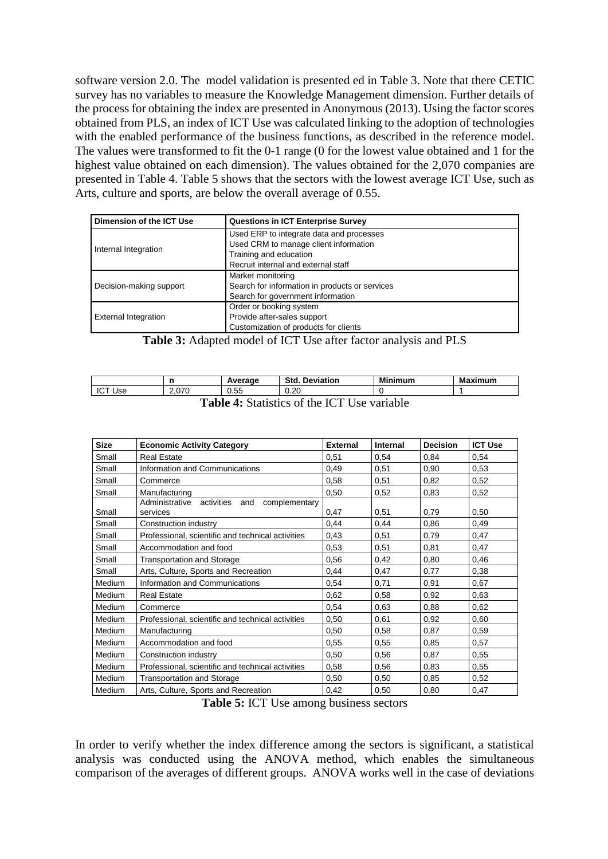software version 2.0. The model validation is presented ed in Table 3. Note that there CETIC survey has no variables to measure the Knowledge Management dimension. Further details of the process for obtaining the index are presented in Anonymous (2013). Using the factor scores obtained from PLS, an index of ICT Use was calculated linking to the adoption of technologies with the enabled performance of the business functions, as described in the reference model. The values were transformed to fit the 0-1 range (0 for the lowest value obtained and 1 for the highest value obtained on each dimension). The values obtained for the 2,070 companies are presented in Table 4. Table 5 shows that the sectors with the lowest average ICT Use, such as Arts, culture and sports, are below the overall average of 0.55.

| Dimension of the ICT Use    | <b>Questions in ICT Enterprise Survey</b>      |
|-----------------------------|------------------------------------------------|
|                             | Used ERP to integrate data and processes       |
|                             | Used CRM to manage client information          |
| Internal Integration        | Training and education                         |
|                             | Recruit internal and external staff            |
|                             | Market monitoring                              |
| Decision-making support     | Search for information in products or services |
|                             | Search for government information              |
|                             | Order or booking system                        |
| <b>External Integration</b> | Provide after-sales support                    |
|                             | Customization of products for clients          |

**Table 3:** Adapted model of ICT Use after factor analysis and PLS

|                                            | n     | Average | <b>Std. Deviation</b> | <b>Minimum</b> | <b>Maximum</b> |  |
|--------------------------------------------|-------|---------|-----------------------|----------------|----------------|--|
| <b>ICT Use</b>                             | 2.070 | 0.55    | 0.20                  |                |                |  |
| Table 4. Statistics of the ICT He verichle |       |         |                       |                |                |  |

| Size   | <b>Economic Activity Category</b>                                | <b>External</b> | Internal | <b>Decision</b> | <b>ICT Use</b> |
|--------|------------------------------------------------------------------|-----------------|----------|-----------------|----------------|
| Small  | <b>Real Estate</b>                                               | 0,51            | 0,54     | 0,84            | 0,54           |
| Small  | Information and Communications                                   | 0,49            | 0,51     | 0,90            | 0,53           |
| Small  | Commerce                                                         | 0,58            | 0,51     | 0,82            | 0,52           |
| Small  | Manufacturing                                                    | 0,50            | 0,52     | 0,83            | 0,52           |
| Small  | Administrative<br>complementary<br>activities<br>and<br>services | 0,47            | 0,51     | 0,79            | 0,50           |
| Small  | Construction industry                                            | 0,44            | 0,44     | 0,86            | 0,49           |
| Small  | Professional, scientific and technical activities                | 0,43            | 0,51     | 0,79            | 0,47           |
| Small  | Accommodation and food                                           | 0,53            | 0,51     | 0,81            | 0,47           |
| Small  | <b>Transportation and Storage</b>                                | 0,56            | 0,42     | 0,80            | 0,46           |
| Small  | Arts, Culture, Sports and Recreation                             | 0,44            | 0,47     | 0,77            | 0,38           |
| Medium | Information and Communications                                   | 0.54            | 0,71     | 0,91            | 0,67           |
| Medium | <b>Real Estate</b>                                               | 0,62            | 0,58     | 0,92            | 0,63           |
| Medium | Commerce                                                         | 0,54            | 0,63     | 0,88            | 0,62           |
| Medium | Professional, scientific and technical activities                | 0,50            | 0,61     | 0,92            | 0,60           |
| Medium | Manufacturing                                                    | 0,50            | 0,58     | 0,87            | 0,59           |
| Medium | Accommodation and food                                           | 0,55            | 0,55     | 0,85            | 0,57           |
| Medium | Construction industry                                            | 0,50            | 0,56     | 0,87            | 0,55           |
| Medium | Professional, scientific and technical activities                | 0,58            | 0,56     | 0,83            | 0,55           |
| Medium | <b>Transportation and Storage</b>                                | 0,50            | 0,50     | 0,85            | 0,52           |
| Medium | Arts, Culture, Sports and Recreation                             | 0,42            | 0,50     | 0,80            | 0,47           |

**Table 4:** Statistics of the ICT Use variable

**Table 5:** ICT Use among business sectors

In order to verify whether the index difference among the sectors is significant, a statistical analysis was conducted using the ANOVA method, which enables the simultaneous comparison of the averages of different groups. ANOVA works well in the case of deviations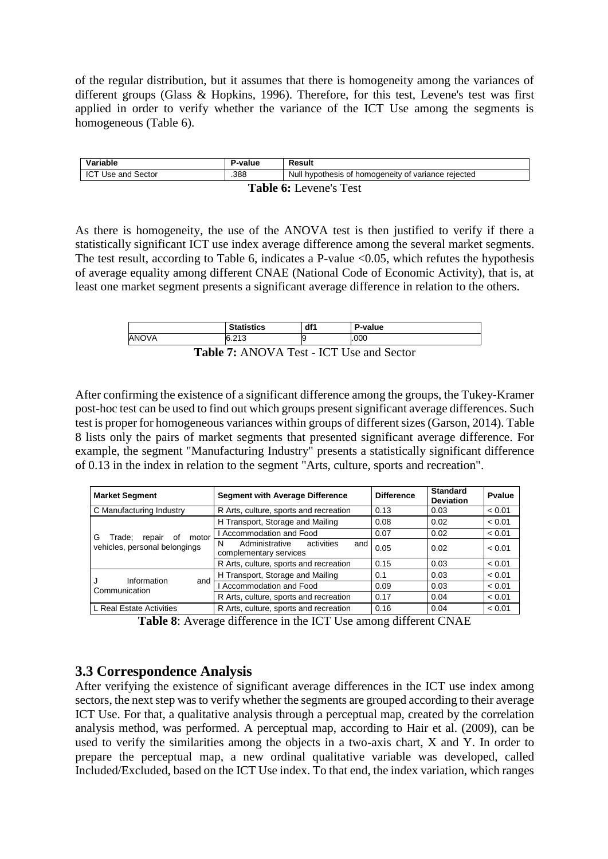of the regular distribution, but it assumes that there is homogeneity among the variances of different groups (Glass & Hopkins, 1996). Therefore, for this test, Levene's test was first applied in order to verify whether the variance of the ICT Use among the segments is homogeneous (Table 6).

| Variable                      | P-value | Result                                              |  |  |  |
|-------------------------------|---------|-----------------------------------------------------|--|--|--|
| ICT Use and Sector            | .388    | Null hypothesis of homogeneity of variance rejected |  |  |  |
| <b>Table 6:</b> Levene's Test |         |                                                     |  |  |  |

As there is homogeneity, the use of the ANOVA test is then justified to verify if there a statistically significant ICT use index average difference among the several market segments. The test result, according to Table 6, indicates a P-value <0.05, which refutes the hypothesis of average equality among different CNAE (National Code of Economic Activity), that is, at least one market segment presents a significant average difference in relation to the others.

|                                                 | <b>Statistics</b> | df1 | P-value |  |  |
|-------------------------------------------------|-------------------|-----|---------|--|--|
| ANOVA                                           | 6.213             |     | .000    |  |  |
| <b>Table 7:</b> ANOVA Test - ICT Use and Sector |                   |     |         |  |  |

After confirming the existence of a significant difference among the groups, the Tukey-Kramer post-hoc test can be used to find out which groups present significant average differences. Such test is proper for homogeneous variances within groups of different sizes (Garson, 2014). Table 8 lists only the pairs of market segments that presented significant average difference. For example, the segment "Manufacturing Industry" presents a statistically significant difference of 0.13 in the index in relation to the segment "Arts, culture, sports and recreation".

| <b>Market Segment</b>                | <b>Segment with Average Difference</b><br><b>Difference</b>        |      | <b>Standard</b><br><b>Deviation</b> | Pvalue |
|--------------------------------------|--------------------------------------------------------------------|------|-------------------------------------|--------|
| C Manufacturing Industry             | R Arts, culture, sports and recreation                             | 0.13 | 0.03                                | < 0.01 |
|                                      | H Transport, Storage and Mailing                                   | 0.08 | 0.02                                | < 0.01 |
| G<br>motor<br>Trade;<br>repair<br>οf | I Accommodation and Food                                           | 0.07 | 0.02                                | < 0.01 |
| vehicles, personal belongings        | Administrative<br>activities<br>N<br>and<br>complementary services | 0.05 | 0.02                                | < 0.01 |
|                                      | R Arts, culture, sports and recreation                             | 0.15 | 0.03                                | < 0.01 |
| Information                          | H Transport, Storage and Mailing                                   | 0.1  | 0.03                                | < 0.01 |
| and<br>Communication                 | I Accommodation and Food                                           | 0.09 | 0.03                                | < 0.01 |
|                                      | R Arts, culture, sports and recreation                             | 0.17 | 0.04                                | < 0.01 |
| L Real Estate Activities             | R Arts, culture, sports and recreation                             | 0.16 | 0.04                                | < 0.01 |

**Table 8**: Average difference in the ICT Use among different CNAE

#### **3.3 Correspondence Analysis**

After verifying the existence of significant average differences in the ICT use index among sectors, the next step was to verify whether the segments are grouped according to their average ICT Use. For that, a qualitative analysis through a perceptual map, created by the correlation analysis method, was performed. A perceptual map, according to Hair et al. (2009), can be used to verify the similarities among the objects in a two-axis chart, X and Y. In order to prepare the perceptual map, a new ordinal qualitative variable was developed, called Included/Excluded, based on the ICT Use index. To that end, the index variation, which ranges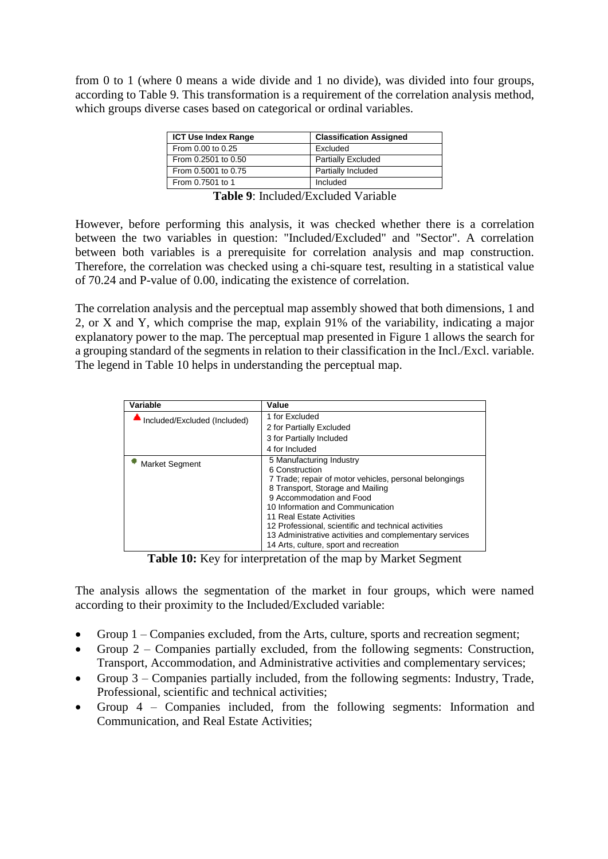from 0 to 1 (where 0 means a wide divide and 1 no divide), was divided into four groups, according to Table 9. This transformation is a requirement of the correlation analysis method, which groups diverse cases based on categorical or ordinal variables.

| <b>ICT Use Index Range</b> | <b>Classification Assigned</b> |
|----------------------------|--------------------------------|
| From 0.00 to 0.25          | Excluded                       |
| From 0.2501 to 0.50        | <b>Partially Excluded</b>      |
| From 0.5001 to 0.75        | Partially Included             |
| From 0.7501 to 1           | Included                       |

**Table 9**: Included/Excluded Variable

However, before performing this analysis, it was checked whether there is a correlation between the two variables in question: "Included/Excluded" and "Sector". A correlation between both variables is a prerequisite for correlation analysis and map construction. Therefore, the correlation was checked using a chi-square test, resulting in a statistical value of 70.24 and P-value of 0.00, indicating the existence of correlation.

The correlation analysis and the perceptual map assembly showed that both dimensions, 1 and 2, or X and Y, which comprise the map, explain 91% of the variability, indicating a major explanatory power to the map. The perceptual map presented in Figure 1 allows the search for a grouping standard of the segments in relation to their classification in the Incl./Excl. variable. The legend in Table 10 helps in understanding the perceptual map.

| Variable                     | Value                                                   |
|------------------------------|---------------------------------------------------------|
| Included/Excluded (Included) | 1 for Excluded                                          |
|                              | 2 for Partially Excluded                                |
|                              | 3 for Partially Included                                |
|                              | 4 for Included                                          |
| <b>Market Segment</b>        | 5 Manufacturing Industry<br>6 Construction              |
|                              | 7 Trade; repair of motor vehicles, personal belongings  |
|                              | 8 Transport, Storage and Mailing                        |
|                              | 9 Accommodation and Food                                |
|                              | 10 Information and Communication                        |
|                              | 11 Real Estate Activities                               |
|                              | 12 Professional, scientific and technical activities    |
|                              | 13 Administrative activities and complementary services |
|                              | 14 Arts, culture, sport and recreation                  |

**Table 10:** Key for interpretation of the map by Market Segment

The analysis allows the segmentation of the market in four groups, which were named according to their proximity to the Included/Excluded variable:

- Group 1 Companies excluded, from the Arts, culture, sports and recreation segment;
- Group 2 Companies partially excluded, from the following segments: Construction, Transport, Accommodation, and Administrative activities and complementary services;
- Group  $3$  Companies partially included, from the following segments: Industry, Trade, Professional, scientific and technical activities;
- Group 4 Companies included, from the following segments: Information and Communication, and Real Estate Activities;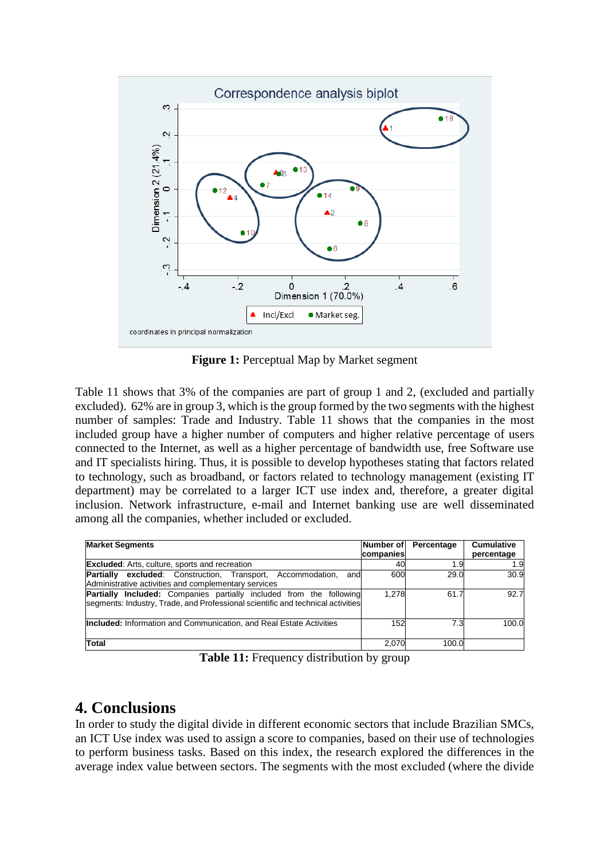

**Figure 1:** Perceptual Map by Market segment

Table 11 shows that 3% of the companies are part of group 1 and 2, (excluded and partially excluded). 62% are in group 3, which is the group formed by the two segments with the highest number of samples: Trade and Industry. Table 11 shows that the companies in the most included group have a higher number of computers and higher relative percentage of users connected to the Internet, as well as a higher percentage of bandwidth use, free Software use and IT specialists hiring. Thus, it is possible to develop hypotheses stating that factors related to technology, such as broadband, or factors related to technology management (existing IT department) may be correlated to a larger ICT use index and, therefore, a greater digital inclusion. Network infrastructure, e-mail and Internet banking use are well disseminated among all the companies, whether included or excluded.

| <b>Market Segments</b>                                                                                                                                        | Number of<br>companies | Percentage | <b>Cumulative</b><br>percentage |
|---------------------------------------------------------------------------------------------------------------------------------------------------------------|------------------------|------------|---------------------------------|
| <b>Excluded:</b> Arts, culture, sports and recreation                                                                                                         | 40                     | 1.9        | 1.9                             |
| <b>Partially excluded:</b> Construction, Transport, Accommodation,<br>and<br>Administrative activities and complementary services                             | 600                    | 29.0       | 30.9                            |
| <b>Partially Included:</b> Companies partially included from the following<br>segments: Industry, Trade, and Professional scientific and technical activities | 1.278                  | 61.7       | 92.7                            |
| <b>Included:</b> Information and Communication, and Real Estate Activities                                                                                    | 152                    | 7.3        | 100.0                           |
| Total                                                                                                                                                         | 2,070                  | 100.0      |                                 |

**Table 11:** Frequency distribution by group

### **4. Conclusions**

In order to study the digital divide in different economic sectors that include Brazilian SMCs, an ICT Use index was used to assign a score to companies, based on their use of technologies to perform business tasks. Based on this index, the research explored the differences in the average index value between sectors. The segments with the most excluded (where the divide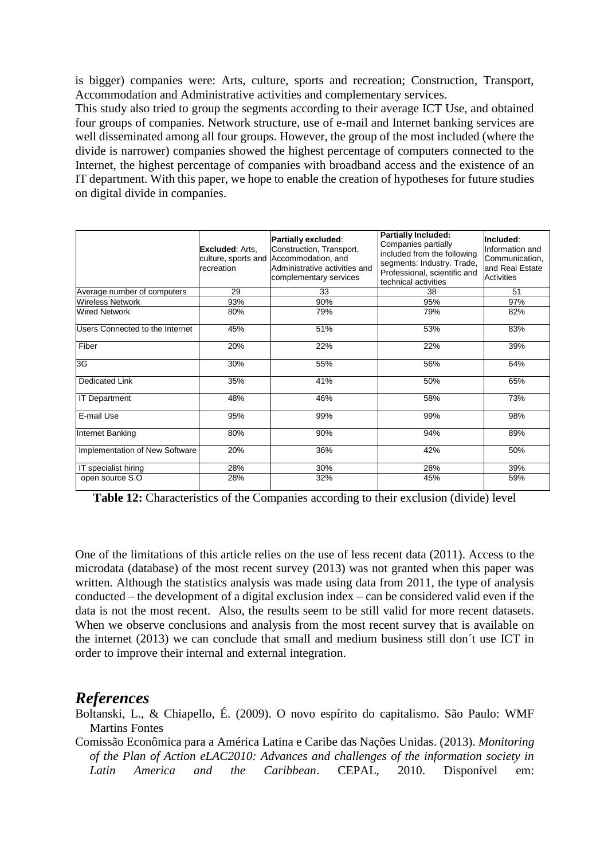is bigger) companies were: Arts, culture, sports and recreation; Construction, Transport, Accommodation and Administrative activities and complementary services.

This study also tried to group the segments according to their average ICT Use, and obtained four groups of companies. Network structure, use of e-mail and Internet banking services are well disseminated among all four groups. However, the group of the most included (where the divide is narrower) companies showed the highest percentage of computers connected to the Internet, the highest percentage of companies with broadband access and the existence of an IT department. With this paper, we hope to enable the creation of hypotheses for future studies on digital divide in companies.

|                                 | <b>Excluded: Arts.</b><br>culture, sports and<br>recreation | Partially excluded:<br>Construction, Transport,<br>Accommodation, and<br>Administrative activities and<br>complementary services | Partially Included:<br>Companies partially<br>included from the following<br>segments: Industry. Trade,<br>Professional, scientific and<br>technical activities | Included:<br>Information and<br>Communication,<br>and Real Estate<br><b>Activities</b> |
|---------------------------------|-------------------------------------------------------------|----------------------------------------------------------------------------------------------------------------------------------|-----------------------------------------------------------------------------------------------------------------------------------------------------------------|----------------------------------------------------------------------------------------|
| Average number of computers     | 29                                                          | 33                                                                                                                               | 38                                                                                                                                                              | 51                                                                                     |
| <b>Wireless Network</b>         | 93%                                                         | 90%                                                                                                                              | 95%                                                                                                                                                             | 97%                                                                                    |
| <b>Wired Network</b>            | 80%                                                         | 79%                                                                                                                              | 79%                                                                                                                                                             | 82%                                                                                    |
| Users Connected to the Internet | 45%                                                         | 51%                                                                                                                              | 53%                                                                                                                                                             | 83%                                                                                    |
| Fiber                           | 20%                                                         | 22%                                                                                                                              | 22%                                                                                                                                                             | 39%                                                                                    |
| 3G                              | 30%                                                         | 55%                                                                                                                              | 56%                                                                                                                                                             | 64%                                                                                    |
| <b>Dedicated Link</b>           | 35%                                                         | 41%                                                                                                                              | 50%                                                                                                                                                             | 65%                                                                                    |
| <b>IT Department</b>            | 48%                                                         | 46%                                                                                                                              | 58%                                                                                                                                                             | 73%                                                                                    |
| E-mail Use                      | 95%                                                         | 99%                                                                                                                              | 99%                                                                                                                                                             | 98%                                                                                    |
| Internet Banking                | 80%                                                         | 90%                                                                                                                              | 94%                                                                                                                                                             | 89%                                                                                    |
| Implementation of New Software  | 20%                                                         | 36%                                                                                                                              | 42%                                                                                                                                                             | 50%                                                                                    |
| IT specialist hiring            | 28%                                                         | 30%                                                                                                                              | 28%                                                                                                                                                             | 39%                                                                                    |
| open source S.O                 | 28%                                                         | 32%                                                                                                                              | 45%                                                                                                                                                             | 59%                                                                                    |

**Table 12:** Characteristics of the Companies according to their exclusion (divide) level

One of the limitations of this article relies on the use of less recent data (2011). Access to the microdata (database) of the most recent survey (2013) was not granted when this paper was written. Although the statistics analysis was made using data from 2011, the type of analysis conducted – the development of a digital exclusion index – can be considered valid even if the data is not the most recent. Also, the results seem to be still valid for more recent datasets. When we observe conclusions and analysis from the most recent survey that is available on the internet (2013) we can conclude that small and medium business still don´t use ICT in order to improve their internal and external integration.

#### *References*

Boltanski, L., & Chiapello, É. (2009). O novo espírito do capitalismo. São Paulo: WMF Martins Fontes

Comissão Econômica para a América Latina e Caribe das Nações Unidas. (2013). *Monitoring of the Plan of Action eLAC2010: Advances and challenges of the information society in Latin America and the Caribbean*. CEPAL, 2010. Disponível em: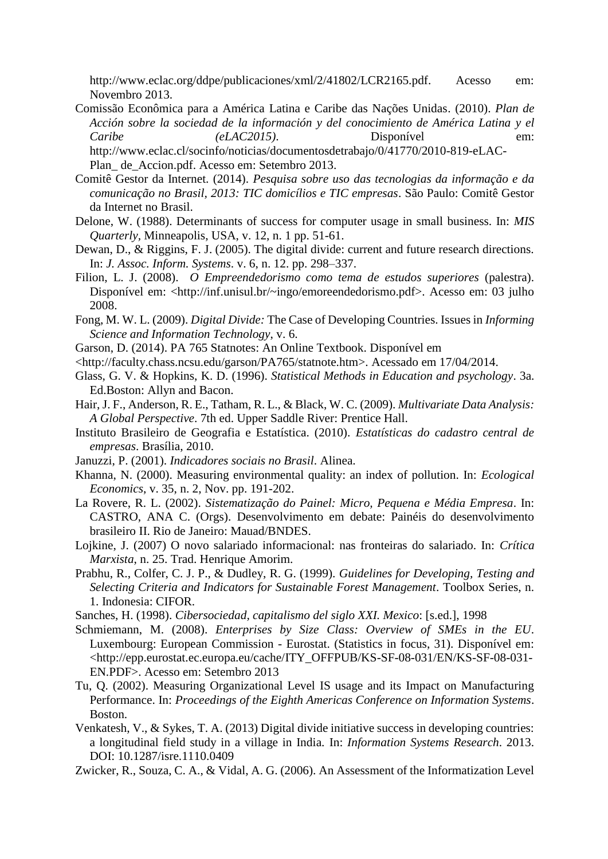http://www.eclac.org/ddpe/publicaciones/xml/2/41802/LCR2165.pdf. Acesso em: Novembro 2013.

Comissão Econômica para a América Latina e Caribe das Nações Unidas. (2010). *Plan de Acción sobre la sociedad de la información y del conocimiento de América Latina y el Caribe (eLAC2015)*. Disponível em:

http://www.eclac.cl/socinfo/noticias/documentosdetrabajo/0/41770/2010-819-eLAC-Plan\_ de\_Accion.pdf. Acesso em: Setembro 2013.

- Comitê Gestor da Internet. (2014). *Pesquisa sobre uso das tecnologias da informação e da comunicação no Brasil, 2013: TIC domicílios e TIC empresas*. São Paulo: Comitê Gestor da Internet no Brasil.
- Delone, W. (1988). Determinants of success for computer usage in small business. In: *MIS Quarterly,* Minneapolis, USA, v. 12, n. 1 pp. 51-61.
- Dewan, D., & Riggins, F. J. (2005). The digital divide: current and future research directions. In: *J. Assoc. Inform. Systems*. v. 6, n. 12. pp. 298–337.
- Filion, L. J. (2008). *O Empreendedorismo como tema de estudos superiores* (palestra). Disponível em: <http://inf.unisul.br/~ingo/emoreendedorismo.pdf>. Acesso em: 03 julho 2008.
- Fong, M. W. L. (2009). *Digital Divide:* The Case of Developing Countries. Issues in *Informing Science and Information Technology*, v. 6.
- Garson, D. (2014). PA 765 Statnotes: An Online Textbook. Disponível em
- <http://faculty.chass.ncsu.edu/garson/PA765/statnote.htm>. Acessado em 17/04/2014.
- Glass, G. V. & Hopkins, K. D. (1996). *Statistical Methods in Education and psychology*. 3a. Ed.Boston: Allyn and Bacon.
- Hair, J. F., Anderson, R. E., Tatham, R. L., & Black, W. C. (2009). *Multivariate Data Analysis: A Global Perspective*. 7th ed. Upper Saddle River: Prentice Hall.
- Instituto Brasileiro de Geografia e Estatística. (2010). *Estatísticas do cadastro central de empresas*. Brasília, 2010.
- Januzzi, P. (2001). *Indicadores sociais no Brasil*. Alinea.
- Khanna, N. (2000). Measuring environmental quality: an index of pollution. In: *Ecological Economics*, v. 35, n. 2, Nov. pp. 191-202.
- La Rovere, R. L. (2002). *Sistematização do Painel: Micro, Pequena e Média Empresa*. In: CASTRO, ANA C. (Orgs). Desenvolvimento em debate: Painéis do desenvolvimento brasileiro II. Rio de Janeiro: Mauad/BNDES.
- Lojkine, J. (2007) O novo salariado informacional: nas fronteiras do salariado. In: *Crítica Marxista*, n. 25. Trad. Henrique Amorim.
- Prabhu, R., Colfer, C. J. P., & Dudley, R. G. (1999). *Guidelines for Developing, Testing and Selecting Criteria and Indicators for Sustainable Forest Management*. Toolbox Series, n. 1. Indonesia: CIFOR.
- Sanches, H. (1998). *Cibersociedad, capitalismo del siglo XXI. Mexico*: [s.ed.], 1998
- Schmiemann, M. (2008). *Enterprises by Size Class: Overview of SMEs in the EU*. Luxembourg: European Commission - Eurostat. (Statistics in focus, 31). Disponível em: <http://epp.eurostat.ec.europa.eu/cache/ITY\_OFFPUB/KS-SF-08-031/EN/KS-SF-08-031- EN.PDF>. Acesso em: Setembro 2013
- Tu, Q. (2002). Measuring Organizational Level IS usage and its Impact on Manufacturing Performance. In: *Proceedings of the Eighth Americas Conference on Information Systems*. Boston.
- Venkatesh, V., & Sykes, T. A. (2013) Digital divide initiative success in developing countries: a longitudinal field study in a village in India*.* In: *Information Systems Research*. 2013. DOI: 10.1287/isre.1110.0409
- Zwicker, R., Souza, C. A., & Vidal, A. G. (2006). An Assessment of the Informatization Level